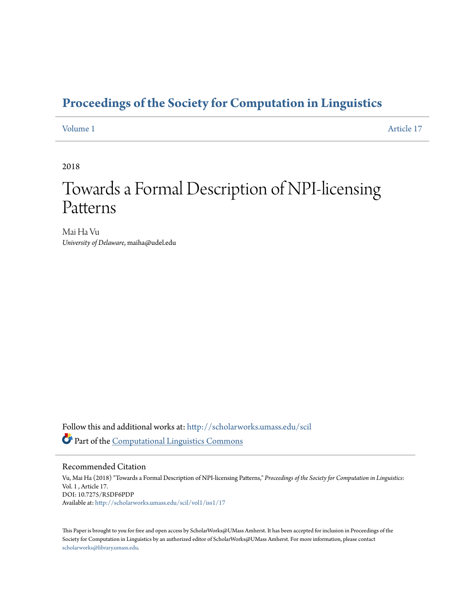## **[Proceedings of the Society for Computation in Linguistics](http://scholarworks.umass.edu/scil?utm_source=scholarworks.umass.edu%2Fscil%2Fvol1%2Fiss1%2F17&utm_medium=PDF&utm_campaign=PDFCoverPages)**

[Volume 1](http://scholarworks.umass.edu/scil/vol1?utm_source=scholarworks.umass.edu%2Fscil%2Fvol1%2Fiss1%2F17&utm_medium=PDF&utm_campaign=PDFCoverPages) [Article 17](http://scholarworks.umass.edu/scil/vol1/iss1/17?utm_source=scholarworks.umass.edu%2Fscil%2Fvol1%2Fiss1%2F17&utm_medium=PDF&utm_campaign=PDFCoverPages)

2018

# Towards a Formal Description of NPI-licensing Patterns

Mai Ha Vu *University of Delaware*, maiha@udel.edu

Follow this and additional works at: [http://scholarworks.umass.edu/scil](http://scholarworks.umass.edu/scil?utm_source=scholarworks.umass.edu%2Fscil%2Fvol1%2Fiss1%2F17&utm_medium=PDF&utm_campaign=PDFCoverPages) Part of the [Computational Linguistics Commons](http://network.bepress.com/hgg/discipline/375?utm_source=scholarworks.umass.edu%2Fscil%2Fvol1%2Fiss1%2F17&utm_medium=PDF&utm_campaign=PDFCoverPages)

#### Recommended Citation

Vu, Mai Ha (2018) "Towards a Formal Description of NPI-licensing Patterns," *Proceedings of the Society for Computation in Linguistics*: Vol. 1 , Article 17. DOI: 10.7275/R5DF6PDP Available at: [http://scholarworks.umass.edu/scil/vol1/iss1/17](http://scholarworks.umass.edu/scil/vol1/iss1/17?utm_source=scholarworks.umass.edu%2Fscil%2Fvol1%2Fiss1%2F17&utm_medium=PDF&utm_campaign=PDFCoverPages)

This Paper is brought to you for free and open access by ScholarWorks@UMass Amherst. It has been accepted for inclusion in Proceedings of the Society for Computation in Linguistics by an authorized editor of ScholarWorks@UMass Amherst. For more information, please contact [scholarworks@library.umass.edu](mailto:scholarworks@library.umass.edu).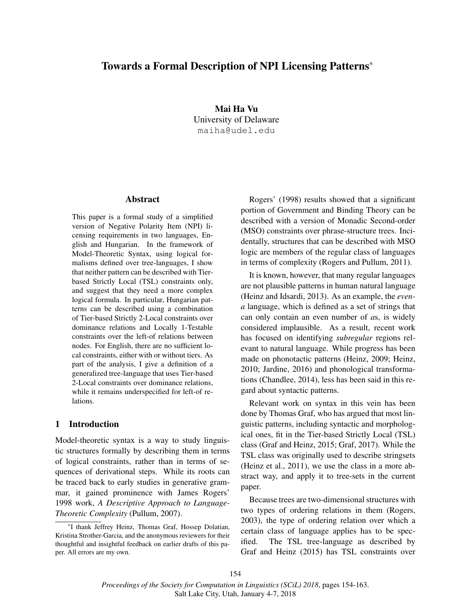### Towards a Formal Description of NPI Licensing Patterns<sup>∗</sup>

Mai Ha Vu University of Delaware maiha@udel.edu

#### Abstract

This paper is a formal study of a simplified version of Negative Polarity Item (NPI) licensing requirements in two languages, English and Hungarian. In the framework of Model-Theoretic Syntax, using logical formalisms defined over tree-languages, I show that neither pattern can be described with Tierbased Strictly Local (TSL) constraints only, and suggest that they need a more complex logical formula. In particular, Hungarian patterns can be described using a combination of Tier-based Strictly 2-Local constraints over dominance relations and Locally 1-Testable constraints over the left-of relations between nodes. For English, there are no sufficient local constraints, either with or without tiers. As part of the analysis, I give a definition of a generalized tree-language that uses Tier-based 2-Local constraints over dominance relations, while it remains underspecified for left-of relations.

#### 1 Introduction

Model-theoretic syntax is a way to study linguistic structures formally by describing them in terms of logical constraints, rather than in terms of sequences of derivational steps. While its roots can be traced back to early studies in generative grammar, it gained prominence with James Rogers' 1998 work, *A Descriptive Approach to Language-Theoretic Complexity* (Pullum, 2007).

Rogers' (1998) results showed that a significant portion of Government and Binding Theory can be described with a version of Monadic Second-order (MSO) constraints over phrase-structure trees. Incidentally, structures that can be described with MSO logic are members of the regular class of languages in terms of complexity (Rogers and Pullum, 2011).

It is known, however, that many regular languages are not plausible patterns in human natural language (Heinz and Idsardi, 2013). As an example, the *evena* language, which is defined as a set of strings that can only contain an even number of *a*s, is widely considered implausible. As a result, recent work has focused on identifying *subregular* regions relevant to natural language. While progress has been made on phonotactic patterns (Heinz, 2009; Heinz, 2010; Jardine, 2016) and phonological transformations (Chandlee, 2014), less has been said in this regard about syntactic patterns.

Relevant work on syntax in this vein has been done by Thomas Graf, who has argued that most linguistic patterns, including syntactic and morphological ones, fit in the Tier-based Strictly Local (TSL) class (Graf and Heinz, 2015; Graf, 2017). While the TSL class was originally used to describe stringsets (Heinz et al., 2011), we use the class in a more abstract way, and apply it to tree-sets in the current paper.

Because trees are two-dimensional structures with two types of ordering relations in them (Rogers, 2003), the type of ordering relation over which a certain class of language applies has to be specified. The TSL tree-language as described by Graf and Heinz (2015) has TSL constraints over

<sup>∗</sup> I thank Jeffrey Heinz, Thomas Graf, Hossep Dolatian, Kristina Strother-Garcia, and the anonymous reviewers for their thoughtful and insightful feedback on earlier drafts of this paper. All errors are my own.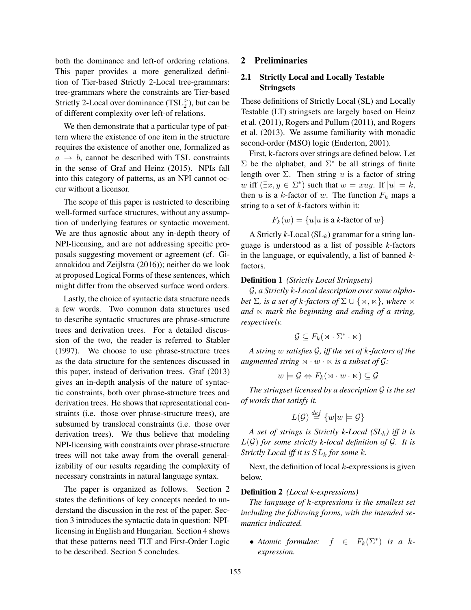both the dominance and left-of ordering relations. This paper provides a more generalized definition of Tier-based Strictly 2-Local tree-grammars: tree-grammars where the constraints are Tier-based Strictly 2-Local over dominance  $(TSL_2^{\rhd})$ , but can be of different complexity over left-of relations.

We then demonstrate that a particular type of pattern where the existence of one item in the structure requires the existence of another one, formalized as  $a \rightarrow b$ , cannot be described with TSL constraints in the sense of Graf and Heinz (2015). NPIs fall into this category of patterns, as an NPI cannot occur without a licensor.

The scope of this paper is restricted to describing well-formed surface structures, without any assumption of underlying features or syntactic movement. We are thus agnostic about any in-depth theory of NPI-licensing, and are not addressing specific proposals suggesting movement or agreement (cf. Giannakidou and Zeijlstra (2016)); neither do we look at proposed Logical Forms of these sentences, which might differ from the observed surface word orders.

Lastly, the choice of syntactic data structure needs a few words. Two common data structures used to describe syntactic structures are phrase-structure trees and derivation trees. For a detailed discussion of the two, the reader is referred to Stabler (1997). We choose to use phrase-structure trees as the data structure for the sentences discussed in this paper, instead of derivation trees. Graf (2013) gives an in-depth analysis of the nature of syntactic constraints, both over phrase-structure trees and derivation trees. He shows that representational constraints (i.e. those over phrase-structure trees), are subsumed by translocal constraints (i.e. those over derivation trees). We thus believe that modeling NPI-licensing with constraints over phrase-structure trees will not take away from the overall generalizability of our results regarding the complexity of necessary constraints in natural language syntax.

The paper is organized as follows. Section 2 states the definitions of key concepts needed to understand the discussion in the rest of the paper. Section 3 introduces the syntactic data in question: NPIlicensing in English and Hungarian. Section 4 shows that these patterns need TLT and First-Order Logic to be described. Section 5 concludes.

#### 2 Preliminaries

#### 2.1 Strictly Local and Locally Testable **Stringsets**

These definitions of Strictly Local (SL) and Locally Testable (LT) stringsets are largely based on Heinz et al. (2011), Rogers and Pullum (2011), and Rogers et al. (2013). We assume familiarity with monadic second-order (MSO) logic (Enderton, 2001).

First, k-factors over strings are defined below. Let  $\Sigma$  be the alphabet, and  $\Sigma^*$  be all strings of finite length over  $\Sigma$ . Then string u is a factor of string w iff  $(\exists x, y \in \Sigma^*)$  such that  $w = xuy$ . If  $|u| = k$ , then u is a k-factor of w. The function  $F_k$  maps a string to a set of  $k$ -factors within it:

$$
F_k(w) = \{u|u \text{ is a }k\text{-factor of }w\}
$$

A Strictly  $k$ -Local ( $SL_k$ ) grammar for a string language is understood as a list of possible *k*-factors in the language, or equivalently, a list of banned *k*factors.

#### Definition 1 *(Strictly Local Stringsets)*

G*, a Strictly* k*-Local description over some alphabet*  $\Sigma$ *, is a set of k-factors of*  $\Sigma \cup \{x, \kappa\}$ *, where*  $\infty$ and  $\times$  *mark the beginning and ending of a string, respectively.*

$$
\mathcal{G} \subseteq F_k(\rtimes \cdot \Sigma^* \cdot \ltimes)
$$

*A string* w *satisfies* G*, iff the set of* k*-factors of the augmented string*  $\forall \cdot w \cdot \forall$  *is a subset of G:* 

$$
w \models \mathcal{G} \Leftrightarrow F_k(\mathbf{w} \cdot w \cdot \mathbf{w}) \subseteq \mathcal{G}
$$

*The stringset licensed by a description* G *is the set of words that satisfy it.*

$$
L(\mathcal{G}) \stackrel{def}{=} \{w|w \models \mathcal{G}\}
$$

*A set of strings is Strictly k-Local (SL*k*) iff it is* L(G) *for some strictly k-local definition of* G*. It is Strictly Local iff it is* SL<sup>k</sup> *for some* k*.*

Next, the definition of local  $k$ -expressions is given below.

#### Definition 2 *(Local k-expressions)*

*The language of* k*-expressions is the smallest set including the following forms, with the intended semantics indicated.*

 $\bullet$  *Atomic formulae:*  $f \in F_k(\Sigma^*)$  *is a kexpression.*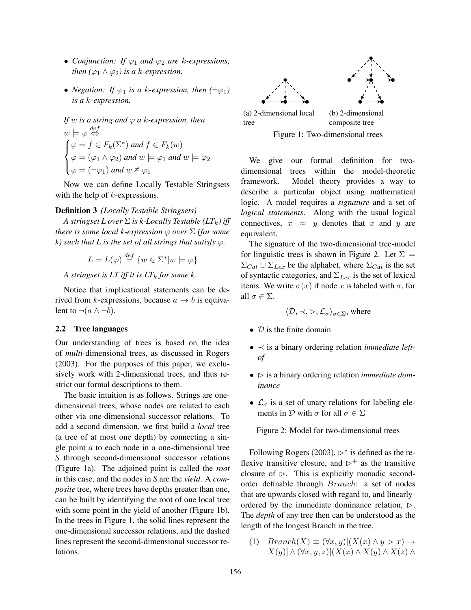- *Conjunction:* If  $\varphi_1$  *and*  $\varphi_2$  *are k*-*expressions*, *then*  $(\varphi_1 \land \varphi_2)$  *is a k-expression.*
- *Negation:* If  $\varphi_1$  *is a k-expression, then*  $(\neg \varphi_1)$ *is a* k*-expression.*

If w is a string and 
$$
\varphi
$$
 a k-expression, then  
\n $w \models \varphi \stackrel{def}{\Leftrightarrow}$   
\n $\varphi = f \in F_k(\Sigma^*)$  and  $f \in F_k(w)$   
\n $\varphi = (\varphi_1 \land \varphi_2)$  and  $w \models \varphi_1$  and  $w \models \varphi_2$   
\n $\varphi = (\neg \varphi_1)$  and  $w \nvDash \varphi_1$ 

Now we can define Locally Testable Stringsets with the help of *k*-expressions.

#### Definition 3 *(Locally Testable Stringsets)*

*A stringset L over*  $\Sigma$  *is k-Locally Testable (LT<sub>k</sub>) iff there is some local k-expression*  $\varphi$  *over*  $\Sigma$  *(for some k*) such that L is the set of all strings that satisfy  $\varphi$ .

$$
L = L(\varphi) \stackrel{def}{=} \{ w \in \Sigma^* | w \models \varphi \}
$$

*A stringset is LT iff it is LT*<sup>k</sup> *for some k.*

Notice that implicational statements can be derived from k-expressions, because  $a \rightarrow b$  is equivalent to  $\neg(a \wedge \neg b)$ .

#### 2.2 Tree languages

Our understanding of trees is based on the idea of *multi*-dimensional trees, as discussed in Rogers (2003). For the purposes of this paper, we exclusively work with 2-dimensional trees, and thus restrict our formal descriptions to them.

The basic intuition is as follows. Strings are onedimensional trees, whose nodes are related to each other via one-dimensional successor relations. To add a second dimension, we first build a *local* tree (a tree of at most one depth) by connecting a single point *a* to each node in a one-dimensional tree *S* through second-dimensional successor relations (Figure 1a). The adjoined point is called the *root* in this case, and the nodes in *S* are the *yield*. A *composite* tree, where trees have depths greater than one, can be built by identifying the root of one local tree with some point in the yield of another (Figure 1b). In the trees in Figure 1, the solid lines represent the one-dimensional successor relations, and the dashed lines represent the second-dimensional successor relations.



Figure 1: Two-dimensional trees

We give our formal definition for twodimensional trees within the model-theoretic framework. Model theory provides a way to describe a particular object using mathematical logic. A model requires a *signature* and a set of *logical statements*. Along with the usual logical connectives,  $x \approx y$  denotes that x and y are equivalent.

The signature of the two-dimensional tree-model for linguistic trees is shown in Figure 2. Let  $\Sigma =$  $\Sigma_{Cat} \cup \Sigma_{Lex}$  be the alphabet, where  $\Sigma_{Cat}$  is the set of syntactic categories, and  $\Sigma_{Lex}$  is the set of lexical items. We write  $\sigma(x)$  if node x is labeled with  $\sigma$ , for all  $\sigma \in \Sigma$ .

$$
\langle \mathcal{D}, \prec, \rhd, \mathcal{L}_{\sigma} \rangle_{\sigma \in \Sigma}
$$
, where

- $\bullet$  D is the finite domain
- ≺ is a binary ordering relation *immediate leftof*
- $\bullet \geq$  is a binary ordering relation *immediate dominance*
- $\mathcal{L}_{\sigma}$  is a set of unary relations for labeling elements in  $\mathcal D$  with  $\sigma$  for all  $\sigma \in \Sigma$

Figure 2: Model for two-dimensional trees

Following Rogers (2003),  $\triangleright^*$  is defined as the reflexive transitive closure, and  $\triangleright^+$  as the transitive closure of  $\triangleright$ . This is explicitly monadic secondorder definable through Branch: a set of nodes that are upwards closed with regard to, and linearlyordered by the immediate dominance relation,  $\triangleright$ . The *depth* of any tree then can be understood as the length of the longest Branch in the tree.

(1)  $Branch(X) \equiv (\forall x, y)[(X(x) \land y \rhd x) \rightarrow$  $X(y)$ ]  $\wedge (\forall x, y, z)$ [ $(X(x) \wedge X(y) \wedge X(z) \wedge Y(z))$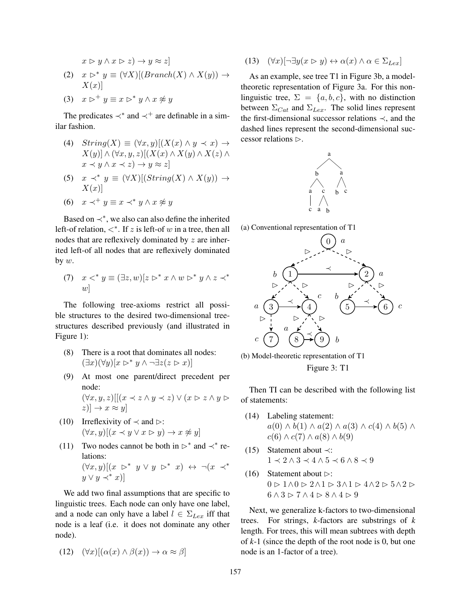$$
x \triangleright y \land x \triangleright z) \to y \approx z
$$
  
(2) 
$$
x \triangleright^* y \equiv (\forall X)[(Branch(X) \land X(y)) \to X(x)]
$$

(3)  $x \triangleright^+ y \equiv x \triangleright^* y \wedge x \not\approx y$ 

The predicates  $\prec^*$  and  $\prec^+$  are definable in a similar fashion.

- (4)  $String(X) \equiv (\forall x, y)[(X(x) \land y \prec x) \rightarrow$  $X(y)$ ]  $\wedge (\forall x, y, z)$ [ $(X(x) \wedge X(y) \wedge X(z) \wedge Y)$  $x \prec y \land x \prec z$ )  $\rightarrow y \approx z$
- (5)  $x \prec^* y \equiv (\forall X)[(String(X) \land X(y))] \rightarrow$  $X(x)$ ]
- (6)  $x \prec^+ y \equiv x \prec^* y \land x \not\approx y$

Based on  $\prec^*$ , we also can also define the inherited left-of relation,  $\lt^*$ . If z is left-of w in a tree, then all nodes that are reflexively dominated by z are inherited left-of all nodes that are reflexively dominated by  $w$ .

(7)  $x <^* y \equiv (\exists z, w)[z \rhd^* x \wedge w \rhd^* y \wedge z \prec^*$  $w$ ]

The following tree-axioms restrict all possible structures to the desired two-dimensional treestructures described previously (and illustrated in Figure 1):

- (8) There is a root that dominates all nodes:  $(\exists x)(\forall y)[x \triangleright^* y \wedge \neg \exists z(z \triangleright x)]$
- (9) At most one parent/direct precedent per node:  $(\forall x, y, z)$   $[(x \prec z \land y \prec z) \lor (x \triangleright z \land y \triangleright z)$  $|z| \rightarrow x \approx y$
- (10) Irreflexivity of  $\prec$  and  $\triangleright$ :  $(\forall x, y)[(x \prec y \lor x \rhd y) \rightarrow x \not\approx y]$
- (11) Two nodes cannot be both in  $\triangleright^*$  and  $\prec^*$  relations:  $(\forall x, y)[(x \triangleright^* y \vee y \triangleright^* x) \leftrightarrow \neg(x \prec^*$  $y \vee y \prec^* x$

We add two final assumptions that are specific to linguistic trees. Each node can only have one label, and a node can only have a label  $l \in \Sigma_{Lex}$  iff that node is a leaf (i.e. it does not dominate any other node).

$$
(12) \quad (\forall x)[(\alpha(x) \land \beta(x)) \to \alpha \approx \beta]
$$

(13)  $(\forall x)[\neg \exists y(x \triangleright y) \leftrightarrow \alpha(x) \land \alpha \in \Sigma_{Lex}]$ 

As an example, see tree T1 in Figure 3b, a modeltheoretic representation of Figure 3a. For this nonlinguistic tree,  $\Sigma = \{a, b, c\}$ , with no distinction between  $\Sigma_{Cat}$  and  $\Sigma_{Lex}$ . The solid lines represent the first-dimensional successor relations ≺, and the dashed lines represent the second-dimensional successor relations  $\triangleright$ .



(a) Conventional representation of T1



(b) Model-theoretic representation of T1

Figure 3: T1

Then TI can be described with the following list of statements:

- (14) Labeling statement:  $a(0) \wedge b(1) \wedge a(2) \wedge a(3) \wedge c(4) \wedge b(5) \wedge$  $c(6) \wedge c(7) \wedge a(8) \wedge b(9)$
- (15) Statement about ≺:  $1 \prec 2 \land 3 \prec 4 \land 5 \prec 6 \land 8 \prec 9$
- (16) Statement about  $\triangleright$ :  $0 \triangleright 1 \wedge 0 \triangleright 2 \wedge 1 \triangleright 3 \wedge 1 \triangleright 4 \wedge 2 \triangleright 5 \wedge 2 \triangleright$  $6 \wedge 3 \vartriangleright 7 \wedge 4 \vartriangleright 8 \wedge 4 \vartriangleright 9$

Next, we generalize k-factors to two-dimensional trees. For strings, *k*-factors are substrings of *k* length. For trees, this will mean subtrees with depth of *k*-1 (since the depth of the root node is 0, but one node is an 1-factor of a tree).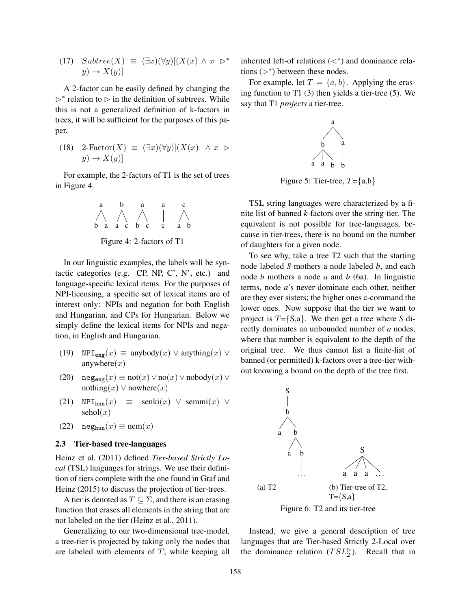(17) 
$$
Subtree(X) \equiv (\exists x)(\forall y)[(X(x) \land x \rhd^*]
$$

$$
y) \to X(y)]
$$

A 2-factor can be easily defined by changing the  $\triangleright^*$  relation to  $\triangleright$  in the definition of subtrees. While this is not a generalized definition of k-factors in trees, it will be sufficient for the purposes of this paper.

(18) 
$$
2\text{-Factor}(X) \equiv (\exists x)(\forall y)[(X(x) \land x \rhd y) \rightarrow X(y)]
$$

For example, the 2-factors of T1 is the set of trees in Figure 4.

$$
\begin{array}{c|ccccc}\n a & b & a & a & c \\
\wedge & \wedge & \wedge & \wedge & \wedge \\
b & a & a & c & b & c & a & b\n\end{array}
$$

Figure 4: 2-factors of T1

In our linguistic examples, the labels will be syntactic categories (e.g. CP, NP, C', N', etc.) and language-specific lexical items. For the purposes of NPI-licensing, a specific set of lexical items are of interest only: NPIs and negation for both English and Hungarian, and CPs for Hungarian. Below we simply define the lexical items for NPIs and negation, in English and Hungarian.

- (19)  $NPI_{\text{eng}}(x) \equiv$  anybody $(x) \vee$  anything $(x) \vee$ anywhere $(x)$
- (20)  $\operatorname{neg}_{\text{eng}}(x) \equiv \operatorname{not}(x) \vee \operatorname{no}(x) \vee \operatorname{nobody}(x) \vee$ nothing(x)  $\vee$  nowhere(x)
- (21)  $NPI_{\text{hun}}(x) \equiv \text{senki}(x) \lor \text{semmi}(x) \lor$  $\text{sehol}(x)$
- (22)  $neg_{\text{hun}}(x) \equiv \text{nem}(x)$

#### 2.3 Tier-based tree-languages

Heinz et al. (2011) defined *Tier-based Strictly Local* (TSL) languages for strings. We use their definition of tiers complete with the one found in Graf and Heinz (2015) to discuss the projection of tier-trees.

A tier is denoted as  $T \subseteq \Sigma$ , and there is an erasing function that erases all elements in the string that are not labeled on the tier (Heinz et al., 2011).

Generalizing to our two-dimensional tree-model, a tree-tier is projected by taking only the nodes that are labeled with elements of  $T$ , while keeping all

inherited left-of relations  $(\langle^* \rangle)$  and dominance relations  $(\triangleright^*)$  between these nodes.

For example, let  $T = \{a, b\}$ . Applying the erasing function to T1 (3) then yields a tier-tree (5). We say that T1 *projects* a tier-tree.



Figure 5: Tier-tree,  $T = \{a,b\}$ 

TSL string languages were characterized by a finite list of banned *k*-factors over the string-tier. The equivalent is not possible for tree-languages, because in tier-trees, there is no bound on the number of daughters for a given node.

To see why, take a tree T2 such that the starting node labeled *S* mothers a node labeled *b*, and each node *b* mothers a node *a* and *b* (6a). In linguistic terms, node *a*'s never dominate each other, neither are they ever sisters; the higher ones c-command the lower ones. Now suppose that the tier we want to project is T={S,a}. We then get a tree where *S* directly dominates an unbounded number of *a* nodes, where that number is equivalent to the depth of the original tree. We thus cannot list a finite-list of banned (or permitted) k-factors over a tree-tier without knowing a bound on the depth of the tree first.



Instead, we give a general description of tree languages that are Tier-based Strictly 2-Local over the dominance relation  $(TSL_2^{\rhd})$ . Recall that in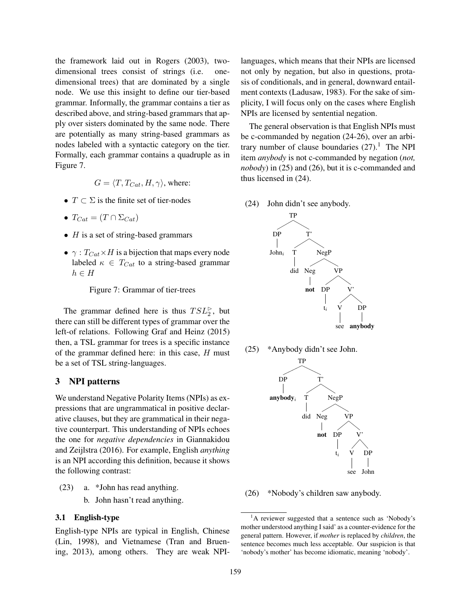the framework laid out in Rogers (2003), twodimensional trees consist of strings (i.e. onedimensional trees) that are dominated by a single node. We use this insight to define our tier-based grammar. Informally, the grammar contains a tier as described above, and string-based grammars that apply over sisters dominated by the same node. There are potentially as many string-based grammars as nodes labeled with a syntactic category on the tier. Formally, each grammar contains a quadruple as in Figure 7.

$$
G=\langle T,T_{Cat},H,\gamma\rangle,
$$
 where:

- $T \subset \Sigma$  is the finite set of tier-nodes
- $T_{Cat} = (T \cap \Sigma_{Cat})$
- $H$  is a set of string-based grammars
- $\gamma$ :  $T_{Cat} \times H$  is a bijection that maps every node labeled  $\kappa \in T_{Cat}$  to a string-based grammar  $h \in H$

Figure 7: Grammar of tier-trees

The grammar defined here is thus  $TSL_2^{\rhd}$ , but there can still be different types of grammar over the left-of relations. Following Graf and Heinz (2015) then, a TSL grammar for trees is a specific instance of the grammar defined here: in this case,  $H$  must be a set of TSL string-languages.

#### 3 NPI patterns

We understand Negative Polarity Items (NPIs) as expressions that are ungrammatical in positive declarative clauses, but they are grammatical in their negative counterpart. This understanding of NPIs echoes the one for *negative dependencies* in Giannakidou and Zeijlstra (2016). For example, English *anything* is an NPI according this definition, because it shows the following contrast:

- (23) a. \*John has read anything.
	- b. John hasn't read anything.

#### 3.1 English-type

English-type NPIs are typical in English, Chinese (Lin, 1998), and Vietnamese (Tran and Bruening, 2013), among others. They are weak NPI-

languages, which means that their NPIs are licensed not only by negation, but also in questions, protasis of conditionals, and in general, downward entailment contexts (Ladusaw, 1983). For the sake of simplicity, I will focus only on the cases where English NPIs are licensed by sentential negation.

The general observation is that English NPIs must be c-commanded by negation (24-26), over an arbitrary number of clause boundaries  $(27)$ .<sup>1</sup> The NPI item *anybody* is not c-commanded by negation (*not, nobody*) in (25) and (26), but it is c-commanded and thus licensed in (24).

(24) John didn't see anybody.



(25) \*Anybody didn't see John.



(26) \*Nobody's children saw anybody.

<sup>&</sup>lt;sup>1</sup>A reviewer suggested that a sentence such as 'Nobody's mother understood anything I said' as a counter-evidence for the general pattern. However, if *mother* is replaced by *children*, the sentence becomes much less acceptable. Our suspicion is that 'nobody's mother' has become idiomatic, meaning 'nobody'.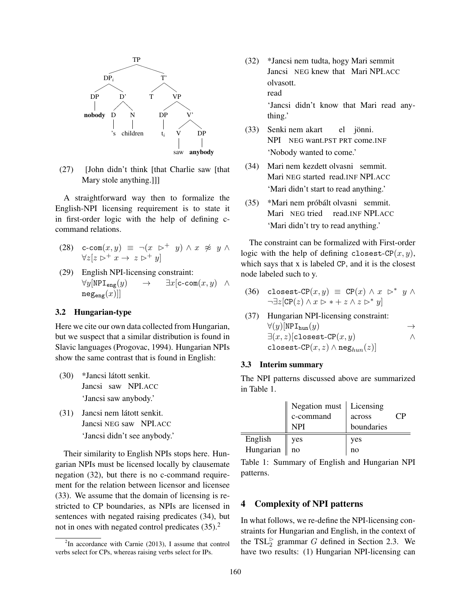

(27) [John didn't think [that Charlie saw [that Mary stole anything.]]]

A straightforward way then to formalize the English-NPI licensing requirement is to state it in first-order logic with the help of defining ccommand relations.

- (28) c-com $(x, y) \equiv \neg(x \rightarrow^+ y) \land x \not\approx y \land x$  $\forall z[z \triangleright^+ x \rightarrow z \triangleright^+ y]$
- (29) English NPI-licensing constraint:  $\forall y$ [NPI<sub>eng</sub> $(y) \rightarrow \exists x$ [c-com $(x, y) \land$  $neg(x)$ ]

#### 3.2 Hungarian-type

Here we cite our own data collected from Hungarian, but we suspect that a similar distribution is found in Slavic languages (Progovac, 1994). Hungarian NPIs show the same contrast that is found in English:

- (30) \*Jancsi látott senkit. Jancsi saw NPI.ACC 'Jancsi saw anybody.'
- (31) Jancsi nem látott senkit. Jancsi NEG saw NPI.ACC 'Jancsi didn't see anybody.'

Their similarity to English NPIs stops here. Hungarian NPIs must be licensed locally by clausemate negation (32), but there is no c-command requirement for the relation between licensor and licensee (33). We assume that the domain of licensing is restricted to CP boundaries, as NPIs are licensed in sentences with negated raising predicates (34), but not in ones with negated control predicates  $(35)$ .<sup>2</sup>

(32) \*Jancsi nem tudta, hogy Mari semmit Jancsi NEG knew that Mari NPI.ACC olvasott. read 'Jancsi didn't know that Mari read any-

thing.'

- (33) Senki nem akart NPI NEG want.PST PRT come.INF el jönni. 'Nobody wanted to come.'
- $(34)$ Mari NEG started read.INF NPI.ACC nem kezdett olvasni semmit. 'Mari didn't start to read anything.'
- (35) \*Mari nem próbált olvasni semmit. Mari NEG tried read.INF NPI.ACC 'Mari didn't try to read anything.'

The constraint can be formalized with First-order logic with the help of defining closest-CP $(x, y)$ , which says that x is labeled CP, and it is the closest node labeled such to y.

- (36) closest-CP $(x, y) \equiv$  CP $(x) \wedge x \mapsto^* y \wedge y$  $\neg \exists z$ [CP(z)  $\land x \rhd * + z \land z \rhd^* y$ ]
- (37) Hungarian NPI-licensing constraint:  $\forall (y)[\texttt{NPI}_{\texttt{hum}}(y) \rightarrow$ <br> $\exists (x, z)[\texttt{closest-CP}(x, y) \land \land$  $\exists (x, z)$ [closest-CP $(x, y)$ ] closest-CP $(x, z) \wedge \text{neg}_{hum}(z)$

#### 3.3 Interim summary

The NPI patterns discussed above are summarized in Table 1.

|           | Negation must   Licensing<br>c-command<br>NPI | across<br>boundaries |  |
|-----------|-----------------------------------------------|----------------------|--|
| English   | yes                                           | yes                  |  |
| Hungarian | no                                            | no                   |  |

Table 1: Summary of English and Hungarian NPI patterns.

#### 4 Complexity of NPI patterns

In what follows, we re-define the NPI-licensing constraints for Hungarian and English, in the context of the TSL $_2^{\triangleright}$  grammar G defined in Section 2.3. We have two results: (1) Hungarian NPI-licensing can

 ${}^{2}$ In accordance with Carnie (2013), I assume that control verbs select for CPs, whereas raising verbs select for IPs.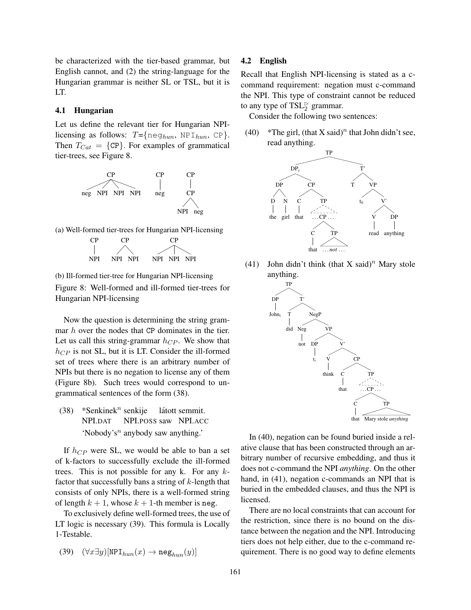be characterized with the tier-based grammar, but English cannot, and (2) the string-language for the Hungarian grammar is neither SL or TSL, but it is LT.

#### 4.1 Hungarian

Let us define the relevant tier for Hungarian NPIlicensing as follows:  $T = \{ \text{neg}_{hun}, \text{NP I}_{hun}, \text{CP} \}.$ Then  $T_{Cat} = \{ CP \}$ . For examples of grammatical tier-trees, see Figure 8.



(a) Well-formed tier-trees for Hungarian NPI-licensing



(b) Ill-formed tier-tree for Hungarian NPI-licensing Figure 8: Well-formed and ill-formed tier-trees for Hungarian NPI-licensing

Now the question is determining the string grammar h over the nodes that CP dominates in the tier. Let us call this string-grammar  $h_{CP}$ . We show that  $h_{CP}$  is not SL, but it is LT. Consider the ill-formed set of trees where there is an arbitrary number of NPIs but there is no negation to license any of them (Figure 8b). Such trees would correspond to ungrammatical sentences of the form (38).

(38) \*Senkinek<sup>n</sup> senkije NPI.DAT NPI.POSS saw NPI.ACC látott semmit. 'Nobody's<sup>n</sup> anybody saw anything.'

If  $h_{CP}$  were SL, we would be able to ban a set of k-factors to successfully exclude the ill-formed trees. This is not possible for any  $k$ . For any  $k$ factor that successfully bans a string of  $k$ -length that consists of only NPIs, there is a well-formed string of length  $k + 1$ , whose  $k + 1$ -th member is neg.

To exclusively define well-formed trees, the use of LT logic is necessary (39). This formula is Locally 1-Testable.

$$
(39) \quad (\forall x \exists y)[\text{NPI}_{hun}(x) \to \text{neg}_{hun}(y)]
$$

#### 4.2 English

Recall that English NPI-licensing is stated as a ccommand requirement: negation must c-command the NPI. This type of constraint cannot be reduced to any type of  $TSL_2^{\rhd}$  grammar.

Consider the following two sentences:

(40) \*The girl, (that X said)<sup>n</sup> that John didn't see, read anything.



(41) John didn't think (that X said)<sup>n</sup> Mary stole anything.



In (40), negation can be found buried inside a relative clause that has been constructed through an arbitrary number of recursive embedding, and thus it does not c-command the NPI *anything*. On the other hand, in (41), negation c-commands an NPI that is buried in the embedded clauses, and thus the NPI is licensed.

There are no local constraints that can account for the restriction, since there is no bound on the distance between the negation and the NPI. Introducing tiers does not help either, due to the c-command requirement. There is no good way to define elements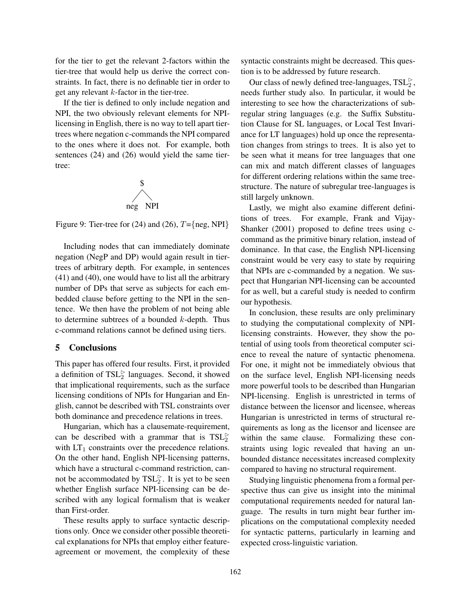for the tier to get the relevant 2-factors within the tier-tree that would help us derive the correct constraints. In fact, there is no definable tier in order to get any relevant k-factor in the tier-tree.

If the tier is defined to only include negation and NPI, the two obviously relevant elements for NPIlicensing in English, there is no way to tell apart tiertrees where negation c-commands the NPI compared to the ones where it does not. For example, both sentences (24) and (26) would yield the same tiertree:



Figure 9: Tier-tree for (24) and (26),  $T = \{neg, NPI\}$ 

Including nodes that can immediately dominate negation (NegP and DP) would again result in tiertrees of arbitrary depth. For example, in sentences (41) and (40), one would have to list all the arbitrary number of DPs that serve as subjects for each embedded clause before getting to the NPI in the sentence. We then have the problem of not being able to determine subtrees of a bounded  $k$ -depth. Thus c-command relations cannot be defined using tiers.

#### 5 Conclusions

This paper has offered four results. First, it provided a definition of  $TSL_2^{\rhd}$  languages. Second, it showed that implicational requirements, such as the surface licensing conditions of NPIs for Hungarian and English, cannot be described with TSL constraints over both dominance and precedence relations in trees.

Hungarian, which has a clausemate-requirement, can be described with a grammar that is  $TSL_2^{\rhd}$ with  $LT_1$  constraints over the precedence relations. On the other hand, English NPI-licensing patterns, which have a structural c-command restriction, cannot be accommodated by  $TSL_2^{\rhd}$ . It is yet to be seen whether English surface NPI-licensing can be described with any logical formalism that is weaker than First-order.

These results apply to surface syntactic descriptions only. Once we consider other possible theoretical explanations for NPIs that employ either featureagreement or movement, the complexity of these syntactic constraints might be decreased. This question is to be addressed by future research.

Our class of newly defined tree-languages,  $\text{TSL}_2^{\rhd}$ , needs further study also. In particular, it would be interesting to see how the characterizations of subregular string languages (e.g. the Suffix Substitution Clause for SL languages, or Local Test Invariance for LT languages) hold up once the representation changes from strings to trees. It is also yet to be seen what it means for tree languages that one can mix and match different classes of languages for different ordering relations within the same treestructure. The nature of subregular tree-languages is still largely unknown.

Lastly, we might also examine different definitions of trees. For example, Frank and Vijay-Shanker (2001) proposed to define trees using ccommand as the primitive binary relation, instead of dominance. In that case, the English NPI-licensing constraint would be very easy to state by requiring that NPIs are c-commanded by a negation. We suspect that Hungarian NPI-licensing can be accounted for as well, but a careful study is needed to confirm our hypothesis.

In conclusion, these results are only preliminary to studying the computational complexity of NPIlicensing constraints. However, they show the potential of using tools from theoretical computer science to reveal the nature of syntactic phenomena. For one, it might not be immediately obvious that on the surface level, English NPI-licensing needs more powerful tools to be described than Hungarian NPI-licensing. English is unrestricted in terms of distance between the licensor and licensee, whereas Hungarian is unrestricted in terms of structural requirements as long as the licensor and licensee are within the same clause. Formalizing these constraints using logic revealed that having an unbounded distance necessitates increased complexity compared to having no structural requirement.

Studying linguistic phenomena from a formal perspective thus can give us insight into the minimal computational requirements needed for natural language. The results in turn might bear further implications on the computational complexity needed for syntactic patterns, particularly in learning and expected cross-linguistic variation.